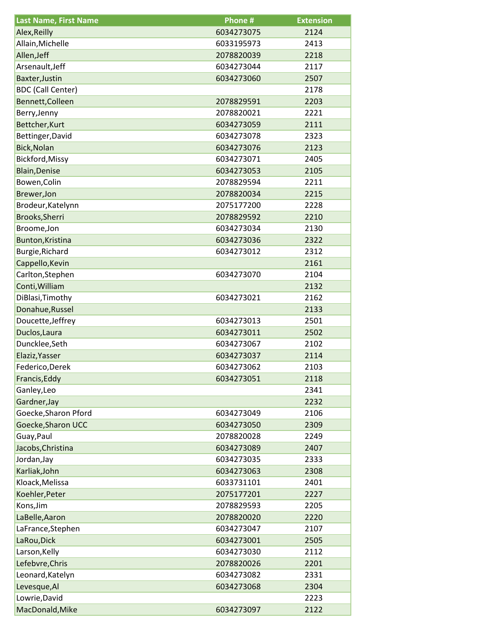| <b>Last Name, First Name</b> | Phone #    | <b>Extension</b> |
|------------------------------|------------|------------------|
| Alex, Reilly                 | 6034273075 | 2124             |
| Allain, Michelle             | 6033195973 | 2413             |
| Allen, Jeff                  | 2078820039 | 2218             |
| Arsenault, Jeff              | 6034273044 | 2117             |
| Baxter, Justin               | 6034273060 | 2507             |
| <b>BDC</b> (Call Center)     |            | 2178             |
| Bennett, Colleen             | 2078829591 | 2203             |
| Berry, Jenny                 | 2078820021 | 2221             |
| Bettcher, Kurt               | 6034273059 | 2111             |
| Bettinger, David             | 6034273078 | 2323             |
| Bick, Nolan                  | 6034273076 | 2123             |
| Bickford, Missy              | 6034273071 | 2405             |
| <b>Blain, Denise</b>         | 6034273053 | 2105             |
| Bowen, Colin                 | 2078829594 | 2211             |
| Brewer, Jon                  | 2078820034 | 2215             |
| Brodeur, Katelynn            | 2075177200 | 2228             |
| Brooks, Sherri               | 2078829592 | 2210             |
| Broome, Jon                  | 6034273034 | 2130             |
| Bunton, Kristina             | 6034273036 | 2322             |
| Burgie, Richard              | 6034273012 | 2312             |
| Cappello, Kevin              |            | 2161             |
| Carlton, Stephen             | 6034273070 | 2104             |
| Conti, William               |            | 2132             |
| DiBlasi, Timothy             | 6034273021 | 2162             |
| Donahue, Russel              |            | 2133             |
| Doucette, Jeffrey            | 6034273013 | 2501             |
| Duclos, Laura                | 6034273011 | 2502             |
| Duncklee, Seth               | 6034273067 | 2102             |
| Elaziz, Yasser               | 6034273037 | 2114             |
| Federico, Derek              | 6034273062 | 2103             |
| Francis, Eddy                | 6034273051 | 2118             |
| Ganley, Leo                  |            | 2341             |
| Gardner, Jay                 |            | 2232             |
| Goecke, Sharon Pford         | 6034273049 | 2106             |
| Goecke, Sharon UCC           | 6034273050 | 2309             |
| Guay, Paul                   | 2078820028 | 2249             |
| Jacobs, Christina            | 6034273089 | 2407             |
| Jordan, Jay                  | 6034273035 | 2333             |
| Karliak, John                | 6034273063 | 2308             |
| Kloack, Melissa              | 6033731101 | 2401             |
| Koehler, Peter               | 2075177201 | 2227             |
| Kons, Jim                    | 2078829593 | 2205             |
|                              | 2078820020 | 2220             |
| LaBelle, Aaron               |            |                  |
| LaFrance, Stephen            | 6034273047 | 2107             |
| LaRou, Dick                  | 6034273001 | 2505             |
| Larson, Kelly                | 6034273030 | 2112             |
| Lefebvre, Chris              | 2078820026 | 2201             |
| Leonard, Katelyn             | 6034273082 | 2331             |
| Levesque, Al                 | 6034273068 | 2304             |
| Lowrie, David                |            | 2223             |
| MacDonald, Mike              | 6034273097 | 2122             |